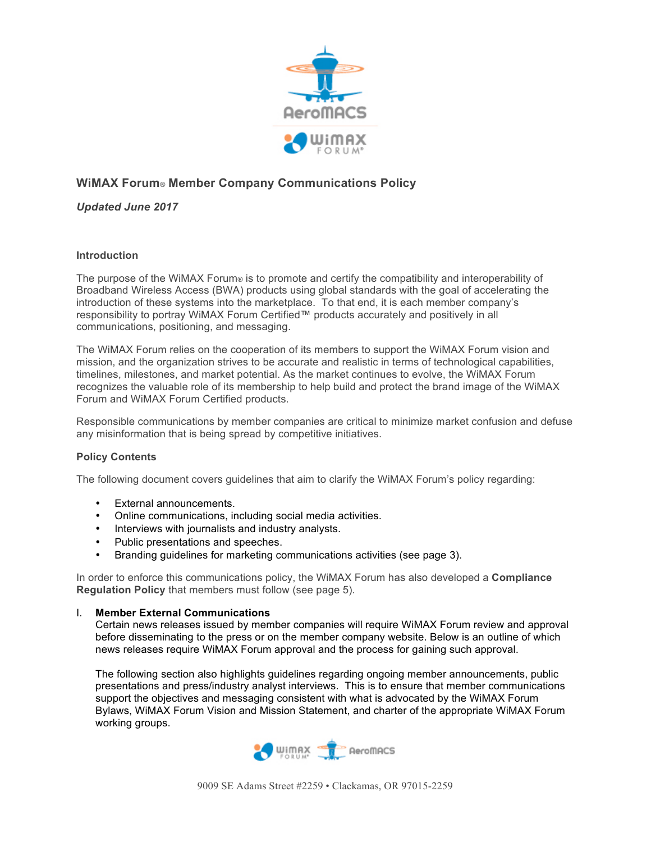

## **WiMAX Forum***®* **Member Company Communications Policy**

*Updated June 2017*

### **Introduction**

The purpose of the WiMAX Forum® is to promote and certify the compatibility and interoperability of Broadband Wireless Access (BWA) products using global standards with the goal of accelerating the introduction of these systems into the marketplace. To that end, it is each member company's responsibility to portray WiMAX Forum Certified™ products accurately and positively in all communications, positioning, and messaging.

The WiMAX Forum relies on the cooperation of its members to support the WiMAX Forum vision and mission, and the organization strives to be accurate and realistic in terms of technological capabilities, timelines, milestones, and market potential. As the market continues to evolve, the WiMAX Forum recognizes the valuable role of its membership to help build and protect the brand image of the WiMAX Forum and WiMAX Forum Certified products.

Responsible communications by member companies are critical to minimize market confusion and defuse any misinformation that is being spread by competitive initiatives.

### **Policy Contents**

The following document covers guidelines that aim to clarify the WiMAX Forum's policy regarding:

- External announcements.
- Online communications, including social media activities.
- Interviews with journalists and industry analysts.
- Public presentations and speeches.
- Branding guidelines for marketing communications activities (see page 3).

In order to enforce this communications policy, the WiMAX Forum has also developed a **Compliance Regulation Policy** that members must follow (see page 5).

#### I. **Member External Communications**

Certain news releases issued by member companies will require WiMAX Forum review and approval before disseminating to the press or on the member company website. Below is an outline of which news releases require WiMAX Forum approval and the process for gaining such approval.

The following section also highlights guidelines regarding ongoing member announcements, public presentations and press/industry analyst interviews. This is to ensure that member communications support the objectives and messaging consistent with what is advocated by the WiMAX Forum Bylaws, WiMAX Forum Vision and Mission Statement, and charter of the appropriate WiMAX Forum working groups.

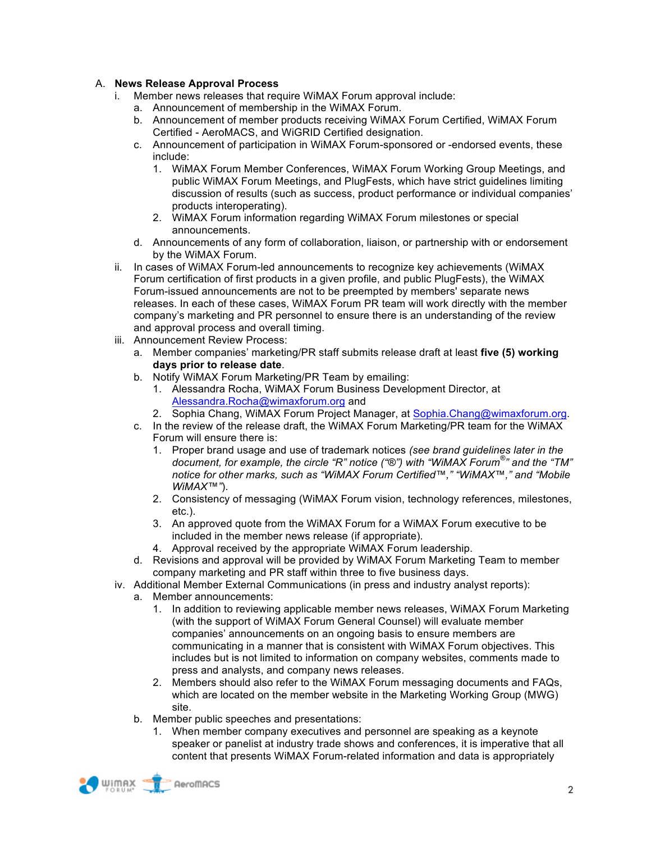### A. **News Release Approval Process**

- i. Member news releases that require WiMAX Forum approval include:
	- a. Announcement of membership in the WiMAX Forum.
	- b. Announcement of member products receiving WiMAX Forum Certified, WiMAX Forum Certified - AeroMACS, and WiGRID Certified designation.
	- c. Announcement of participation in WiMAX Forum-sponsored or -endorsed events, these include:
		- 1. WiMAX Forum Member Conferences, WiMAX Forum Working Group Meetings, and public WiMAX Forum Meetings, and PlugFests, which have strict guidelines limiting discussion of results (such as success, product performance or individual companies' products interoperating).
		- 2. WiMAX Forum information regarding WiMAX Forum milestones or special announcements.
	- d. Announcements of any form of collaboration, liaison, or partnership with or endorsement by the WiMAX Forum.
- ii. In cases of WiMAX Forum-led announcements to recognize key achievements (WiMAX Forum certification of first products in a given profile, and public PlugFests), the WiMAX Forum-issued announcements are not to be preempted by members' separate news releases. In each of these cases, WiMAX Forum PR team will work directly with the member company's marketing and PR personnel to ensure there is an understanding of the review and approval process and overall timing.
- iii. Announcement Review Process:
	- a. Member companies' marketing/PR staff submits release draft at least **five (5) working days prior to release date**.
	- b. Notify WiMAX Forum Marketing/PR Team by emailing:
		- 1. Alessandra Rocha, WiMAX Forum Business Development Director, at Alessandra.Rocha@wimaxforum.org and
		- 2. Sophia Chang, WiMAX Forum Project Manager, at Sophia.Chang@wimaxforum.org.
	- c. In the review of the release draft, the WiMAX Forum Marketing/PR team for the WiMAX Forum will ensure there is:
		- 1. Proper brand usage and use of trademark notices *(see brand guidelines later in the document, for example, the circle "R" notice ("®") with "WiMAX Forum® " and the "TM" notice for other marks, such as "WiMAX Forum Certified™," "WiMAX™," and "Mobile WiMAX™"*).
		- 2. Consistency of messaging (WiMAX Forum vision, technology references, milestones, etc.).
		- 3. An approved quote from the WiMAX Forum for a WiMAX Forum executive to be included in the member news release (if appropriate).
		- 4. Approval received by the appropriate WiMAX Forum leadership.
	- d. Revisions and approval will be provided by WiMAX Forum Marketing Team to member company marketing and PR staff within three to five business days.
- iv. Additional Member External Communications (in press and industry analyst reports):
	- a. Member announcements:
		- 1. In addition to reviewing applicable member news releases, WiMAX Forum Marketing (with the support of WiMAX Forum General Counsel) will evaluate member companies' announcements on an ongoing basis to ensure members are communicating in a manner that is consistent with WiMAX Forum objectives. This includes but is not limited to information on company websites, comments made to press and analysts, and company news releases.
		- 2. Members should also refer to the WiMAX Forum messaging documents and FAQs, which are located on the member website in the Marketing Working Group (MWG) site.
	- b. Member public speeches and presentations:
		- 1. When member company executives and personnel are speaking as a keynote speaker or panelist at industry trade shows and conferences, it is imperative that all content that presents WiMAX Forum-related information and data is appropriately

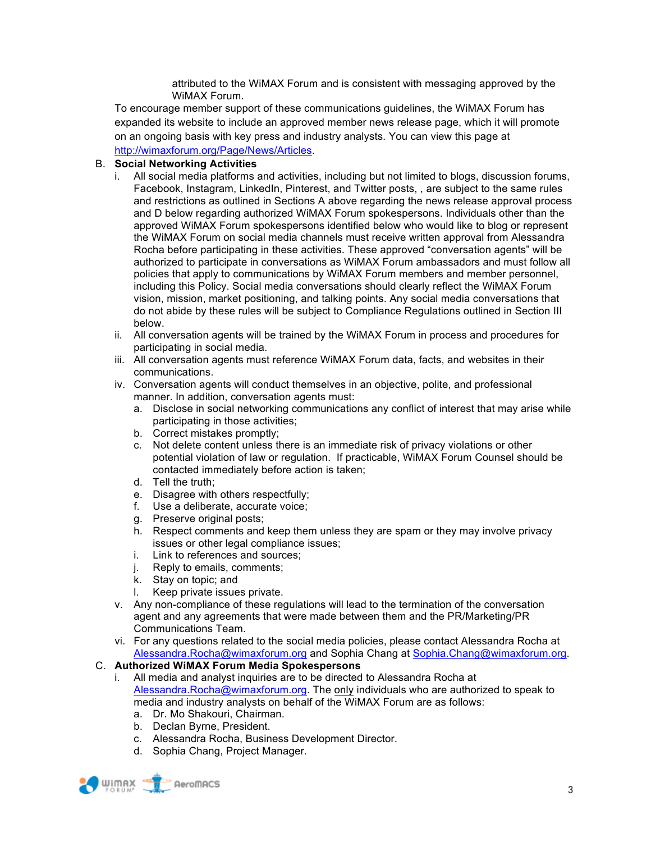attributed to the WiMAX Forum and is consistent with messaging approved by the WiMAX Forum.

To encourage member support of these communications guidelines, the WiMAX Forum has expanded its website to include an approved member news release page, which it will promote on an ongoing basis with key press and industry analysts. You can view this page at http://wimaxforum.org/Page/News/Articles.

### B. **Social Networking Activities**

- i. All social media platforms and activities, including but not limited to blogs, discussion forums, Facebook, Instagram, LinkedIn, Pinterest, and Twitter posts, , are subject to the same rules and restrictions as outlined in Sections A above regarding the news release approval process and D below regarding authorized WiMAX Forum spokespersons. Individuals other than the approved WiMAX Forum spokespersons identified below who would like to blog or represent the WiMAX Forum on social media channels must receive written approval from Alessandra Rocha before participating in these activities. These approved "conversation agents" will be authorized to participate in conversations as WiMAX Forum ambassadors and must follow all policies that apply to communications by WiMAX Forum members and member personnel, including this Policy. Social media conversations should clearly reflect the WiMAX Forum vision, mission, market positioning, and talking points. Any social media conversations that do not abide by these rules will be subject to Compliance Regulations outlined in Section III below.
- ii. All conversation agents will be trained by the WiMAX Forum in process and procedures for participating in social media.
- iii. All conversation agents must reference WiMAX Forum data, facts, and websites in their communications.
- iv. Conversation agents will conduct themselves in an objective, polite, and professional manner. In addition, conversation agents must:
	- a. Disclose in social networking communications any conflict of interest that may arise while participating in those activities;
	- b. Correct mistakes promptly;
	- c. Not delete content unless there is an immediate risk of privacy violations or other potential violation of law or regulation. If practicable, WiMAX Forum Counsel should be contacted immediately before action is taken;
	- d. Tell the truth;
	- e. Disagree with others respectfully;
	- f. Use a deliberate, accurate voice;
	- g. Preserve original posts;
	- h. Respect comments and keep them unless they are spam or they may involve privacy issues or other legal compliance issues;
	- i. Link to references and sources;
	- j. Reply to emails, comments;
	- k. Stay on topic; and
	- l. Keep private issues private.
- v. Any non-compliance of these regulations will lead to the termination of the conversation agent and any agreements that were made between them and the PR/Marketing/PR Communications Team.
- vi. For any questions related to the social media policies, please contact Alessandra Rocha at Alessandra.Rocha@wimaxforum.org and Sophia Chang at Sophia.Chang@wimaxforum.org.

### C. **Authorized WiMAX Forum Media Spokespersons**

- i. All media and analyst inquiries are to be directed to Alessandra Rocha at Alessandra.Rocha@wimaxforum.org. The only individuals who are authorized to speak to media and industry analysts on behalf of the WiMAX Forum are as follows:
	- a. Dr. Mo Shakouri, Chairman.
	- b. Declan Byrne, President.
	- c. Alessandra Rocha, Business Development Director.
	- d. Sophia Chang, Project Manager.

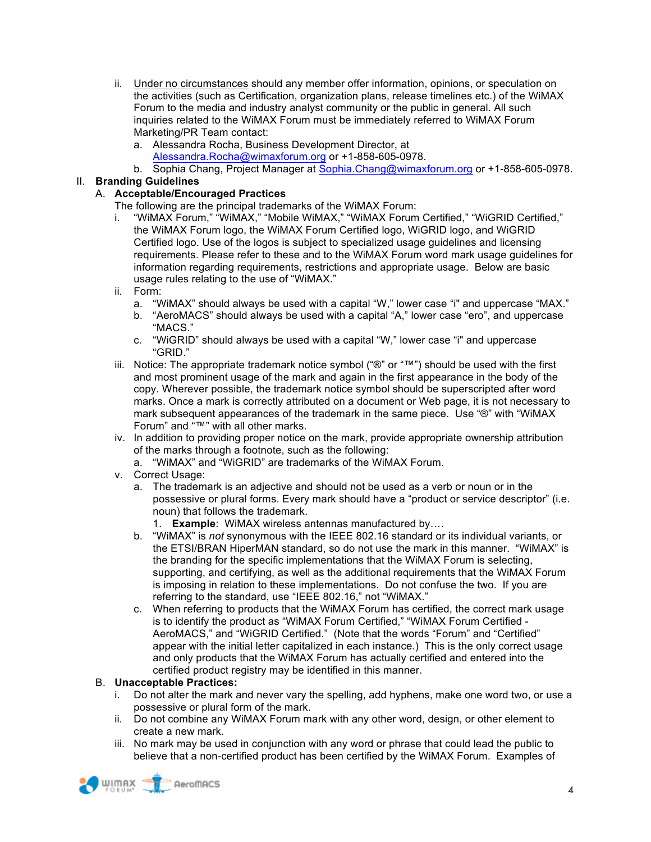- ii. Under no circumstances should any member offer information, opinions, or speculation on the activities (such as Certification, organization plans, release timelines etc.) of the WiMAX Forum to the media and industry analyst community or the public in general. All such inquiries related to the WiMAX Forum must be immediately referred to WiMAX Forum Marketing/PR Team contact:
	- a. Alessandra Rocha, Business Development Director, at
		- Alessandra.Rocha@wimaxforum.org or +1-858-605-0978.
	- b. Sophia Chang, Project Manager at Sophia.Chang@wimaxforum.org or +1-858-605-0978.

# II. **Branding Guidelines**

## A. **Acceptable/Encouraged Practices**

- The following are the principal trademarks of the WiMAX Forum:
- i. "WiMAX Forum," "WiMAX," "Mobile WiMAX," "WiMAX Forum Certified," "WiGRID Certified," the WiMAX Forum logo, the WiMAX Forum Certified logo, WiGRID logo, and WiGRID Certified logo. Use of the logos is subject to specialized usage guidelines and licensing requirements. Please refer to these and to the WiMAX Forum word mark usage guidelines for information regarding requirements, restrictions and appropriate usage. Below are basic usage rules relating to the use of "WiMAX."
- ii. Form:
	- a. "WiMAX" should always be used with a capital "W," lower case "i" and uppercase "MAX."
	- b. "AeroMACS" should always be used with a capital "A," lower case "ero", and uppercase "MACS."
	- c. "WiGRID" should always be used with a capital "W," lower case "i" and uppercase "GRID."
- iii. Notice: The appropriate trademark notice symbol ("®" or "™") should be used with the first and most prominent usage of the mark and again in the first appearance in the body of the copy. Wherever possible, the trademark notice symbol should be superscripted after word marks. Once a mark is correctly attributed on a document or Web page, it is not necessary to mark subsequent appearances of the trademark in the same piece. Use "®" with "WiMAX Forum" and "™" with all other marks.
- iv. In addition to providing proper notice on the mark, provide appropriate ownership attribution of the marks through a footnote, such as the following:
	- a. "WiMAX" and "WiGRID" are trademarks of the WiMAX Forum.
- v. Correct Usage:
	- a. The trademark is an adjective and should not be used as a verb or noun or in the possessive or plural forms. Every mark should have a "product or service descriptor" (i.e. noun) that follows the trademark.
		- 1. **Example**: WiMAX wireless antennas manufactured by….
	- b. "WiMAX" is *not* synonymous with the IEEE 802.16 standard or its individual variants, or the ETSI/BRAN HiperMAN standard, so do not use the mark in this manner. "WiMAX" is the branding for the specific implementations that the WiMAX Forum is selecting, supporting, and certifying, as well as the additional requirements that the WiMAX Forum is imposing in relation to these implementations. Do not confuse the two. If you are referring to the standard, use "IEEE 802.16," not "WiMAX."
	- c. When referring to products that the WiMAX Forum has certified, the correct mark usage is to identify the product as "WiMAX Forum Certified," "WiMAX Forum Certified - AeroMACS," and "WiGRID Certified." (Note that the words "Forum" and "Certified" appear with the initial letter capitalized in each instance.) This is the only correct usage and only products that the WiMAX Forum has actually certified and entered into the certified product registry may be identified in this manner.

### B. **Unacceptable Practices:**

- i. Do not alter the mark and never vary the spelling, add hyphens, make one word two, or use a possessive or plural form of the mark.
- ii. Do not combine any WiMAX Forum mark with any other word, design, or other element to create a new mark.
- iii. No mark may be used in conjunction with any word or phrase that could lead the public to believe that a non-certified product has been certified by the WiMAX Forum. Examples of